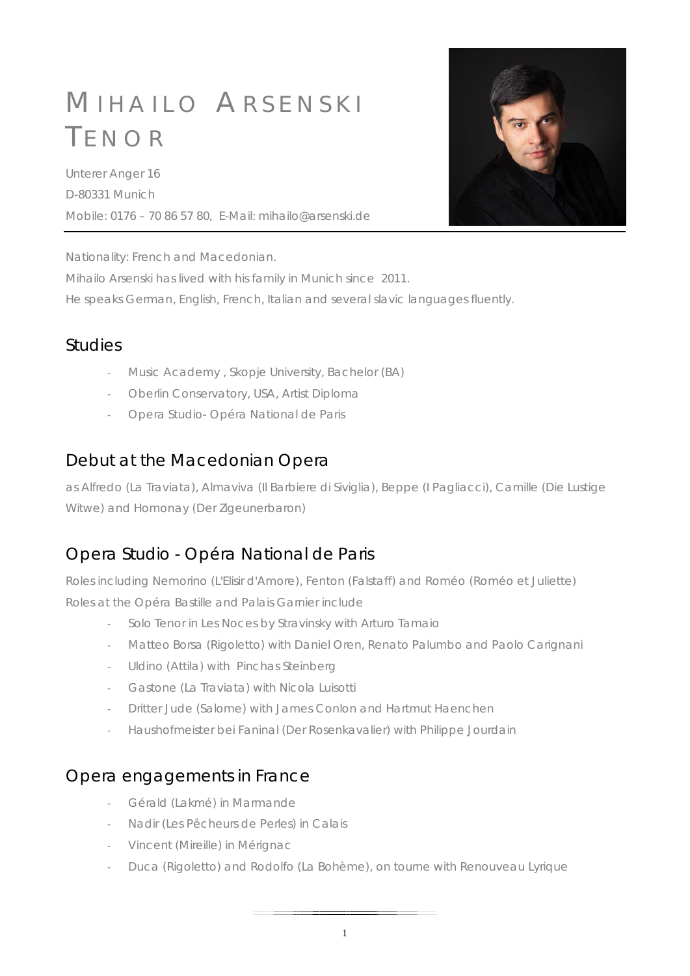# M IHAILO A RSENSKI T ENOR

Unterer Anger 16 D-80331 Munich Mobile: 0176 – 70 86 57 80, E-Mail: mihailo@arsenski.de



Nationality: French and Macedonian.

Mihailo Arsenski has lived with his family in Munich since 2011.

He speaks German, English, French, Italian and several slavic languages fluently.

#### **Studies**

- Music Academy , Skopje University, Bachelor (BA)
- Oberlin Conservatory, USA, Artist Diploma
- Opera Studio- Opéra National de Paris

# Debut at the Macedonian Opera

as Alfredo (La Traviata), Almaviva (Il Barbiere di Siviglia), Beppe (I Pagliacci), Camille (Die Lustige Witwe) and Homonay (Der Zigeunerbaron)

# Opera Studio - Opéra National de Paris

Roles including Nemorino (L'Elisir d'Amore), Fenton (Falstaff) and Roméo (Roméo et Juliette) Roles at the Opéra Bastille and Palais Garnier include

- Solo Tenor in Les Noces by Stravinsky with Arturo Tamaio
- Matteo Borsa (Rigoletto) with Daniel Oren, Renato Palumbo and Paolo Carignani
- Uldino (Attila) with Pinchas Steinberg
- Gastone (La Traviata) with Nicola Luisotti
- Dritter Jude (Salome) with James Conlon and Hartmut Haenchen
- Haushofmeister bei Faninal (Der Rosenkavalier) with Philippe Jourdain

#### Opera engagements in France

- Gérald (Lakmé) in Marmande
- Nadir (Les Pêcheurs de Perles) in Calais
- Vincent (Mireille) in Mérignac
- Duca (Rigoletto) and Rodolfo (La Bohème), on tourne with Renouveau Lyrique